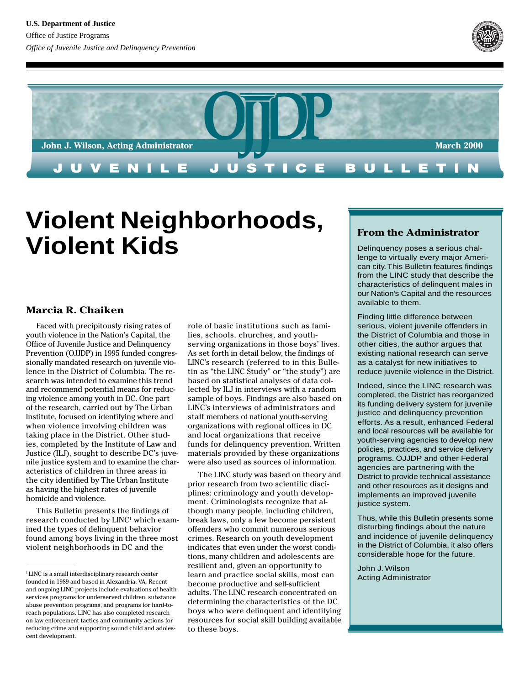



# **Violent Neighborhoods, Violent Kids**

### **Marcia R. Chaiken**

Faced with precipitously rising rates of youth violence in the Nation's Capital, the Office of Juvenile Justice and Delinquency Prevention (OJJDP) in 1995 funded congressionally mandated research on juvenile violence in the District of Columbia. The research was intended to examine this trend and recommend potential means for reducing violence among youth in DC. One part of the research, carried out by The Urban Institute, focused on identifying where and when violence involving children was taking place in the District. Other studies, completed by the Institute of Law and Justice (ILJ), sought to describe DC's juvenile justice system and to examine the characteristics of children in three areas in the city identified by The Urban Institute as having the highest rates of juvenile homicide and violence.

This Bulletin presents the findings of research conducted by LINC<sup>1</sup> which examined the types of delinquent behavior found among boys living in the three most violent neighborhoods in DC and the

role of basic institutions such as families, schools, churches, and youthserving organizations in those boys' lives. As set forth in detail below, the findings of LINC's research (referred to in this Bulletin as "the LINC Study" or "the study") are based on statistical analyses of data collected by ILJ in interviews with a random sample of boys. Findings are also based on LINC's interviews of administrators and staff members of national youth-serving organizations with regional offices in DC and local organizations that receive funds for delinquency prevention. Written materials provided by these organizations were also used as sources of information.

resilient and, given an opportunity to<br>learn and practice social skills, most<br>become productive and self-sufficient<br>adults. The LINC research concentrate The LINC study was based on theory and prior research from two scientific disciplines: criminology and youth development. Criminologists recognize that although many people, including children, break laws, only a few become persistent offenders who commit numerous serious crimes. Research on youth development indicates that even under the worst conditions, many children and adolescents are learn and practice social skills, most can become productive and self-sufficient adults. The LINC research concentrated on determining the characteristics of the DC boys who were delinquent and identifying resources for social skill building available to these boys.

# **From the Administrator**

Delinquency poses a serious challenge to virtually every major American city. This Bulletin features findings from the LINC study that describe the characteristics of delinquent males in our Nation's Capital and the resources available to them.

Finding little difference between serious, violent juvenile offenders in the District of Columbia and those in other cities, the author argues that existing national research can serve as a catalyst for new initiatives to reduce juvenile violence in the District.

Indeed, since the LINC research was completed, the District has reorganized its funding delivery system for juvenile justice and delinquency prevention efforts. As a result, enhanced Federal and local resources will be available for youth-serving agencies to develop new policies, practices, and service delivery programs. OJJDP and other Federal agencies are partnering with the District to provide technical assistance and other resources as it designs and implements an improved juvenile justice system.

Thus, while this Bulletin presents some disturbing findings about the nature and incidence of juvenile delinquency in the District of Columbia, it also offers considerable hope for the future.

John J. Wilson Acting Administrator

<sup>1</sup> LINC is a small interdisciplinary research center founded in 1989 and based in Alexandria, VA. Recent and ongoing LINC projects include evaluations of health services programs for underserved children, substance abuse prevention programs, and programs for hard-toreach populations. LINC has also completed research on law enforcement tactics and community actions for reducing crime and supporting sound child and adolescent development.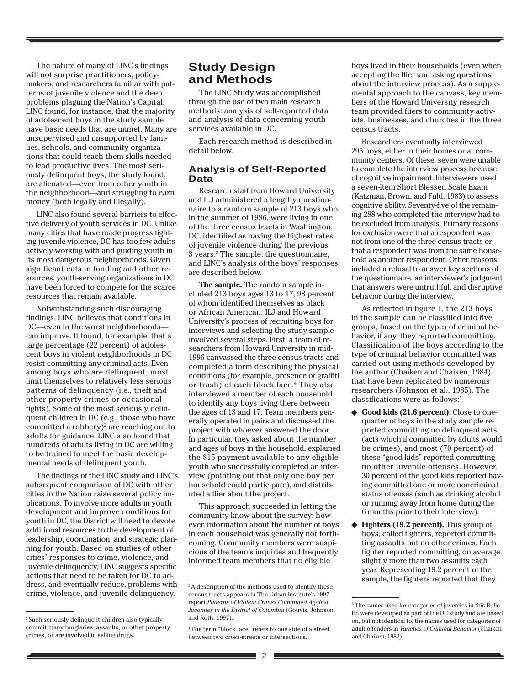The nature of many of LINC's findings will not surprise practitioners, policymakers, and researchers familiar with patterns of juvenile violence and the deep problems plaguing the Nation's Capital. LINC found, for instance, that the majority of adolescent boys in the study sample have basic needs that are unmet. Many are unsupervised and unsupported by families, schools, and community organizations that could teach them skills needed to lead productive lives. The most seriously delinquent boys, the study found, are alienated—even from other youth in the neighborhood—and struggling to earn money (both legally and illegally).

LINC also found several barriers to effective delivery of youth services in DC. Unlike many cities that have made progress fighting juvenile violence, DC has too few adults actively working with and guiding youth in its most dangerous neighborhoods. Given significant cuts in funding and other resources, youth-serving organizations in DC have been forced to compete for the scarce resources that remain available.

Notwithstanding such discouraging findings, LINC believes that conditions in DC—even in the worst neighborhoods can improve. It found, for example, that a large percentage (22 percent) of adolescent boys in violent neighborhoods in DC resist committing any criminal acts. Even among boys who are delinquent, most limit themselves to relatively less serious patterns of delinquency (i.e., theft and other property crimes or occasional fights). Some of the most seriously delinquent children in DC (e.g., those who have committed a robbery)<sup>2</sup> are reaching out to adults for guidance. LINC also found that hundreds of adults living in DC are willing to be trained to meet the basic developmental needs of delinquent youth.

The findings of the LINC study and LINC's subsequent comparison of DC with other cities in the Nation raise several policy implications. To involve more adults in youth development and improve conditions for youth in DC, the District will need to devote additional resources to the development of leadership, coordination, and strategic planning for youth. Based on studies of other cities' responses to crime, violence, and juvenile delinquency, LINC suggests specific actions that need to be taken for DC to address, and eventually reduce, problems with crime, violence, and juvenile delinquency.

# **Study Design and Methods**

The LINC Study was accomplished through the use of two main research methods: analysis of self-reported data and analysis of data concerning youth services available in DC.

Each research method is described in detail below.

#### **Analysis of Self-Reported Data**

Research staff from Howard University and ILJ administered a lengthy questionnaire to a random sample of 213 boys who, in the summer of 1996, were living in one of the three census tracts in Washington, DC, identified as having the highest rates of juvenile violence during the previous 3 years.3 The sample, the questionnaire, and LINC's analysis of the boys' responses are described below.

**The sample.** The random sample included 213 boys ages 13 to 17, 98 percent of whom identified themselves as black or African American. ILJ and Howard University's process of recruiting boys for interviews and selecting the study sample involved several steps. First, a team of researchers from Howard University in mid-1996 canvassed the three census tracts and completed a form describing the physical conditions (for example, presence of graffiti or trash) of each block face.<sup>4</sup> They also interviewed a member of each household to identify any boys living there between the ages of 13 and 17. Team members generally operated in pairs and discussed the project with whoever answered the door. In particular, they asked about the number and ages of boys in the household, explained the \$15 payment available to any eligible youth who successfully completed an interview (pointing out that only one boy per household could participate), and distributed a flier about the project.

This approach succeeded in letting the community know about the survey; however, information about the number of boys in each household was generally not forthcoming. Community members were suspicious of the team's inquiries and frequently informed team members that no eligible

boys lived in their households (even when accepting the flier and asking questions about the interview process). As a supplemental approach to the canvass, key members of the Howard University research team provided fliers to community activists, businesses, and churches in the three census tracts.

Researchers eventually interviewed 295 boys, either in their homes or at community centers. Of these, seven were unable to complete the interview process because of cognitive impairment. Interviewers used a seven-item Short Blessed Scale Exam (Katzman, Brown, and Fuld, 1983) to assess cognitive ability. Seventy-five of the remaining 288 who completed the interview had to be excluded from analysis. Primary reasons for exclusion were that a respondent was not from one of the three census tracts or that a respondent was from the same household as another respondent. Other reasons included a refusal to answer key sections of the questionnaire, an interviewer's judgment that answers were untruthful, and disruptive behavior during the interview.

As reflected in figure 1, the 213 boys in the sample can be classified into five groups, based on the types of criminal behavior, if any, they reported committing. Classification of the boys according to the type of criminal behavior committed was carried out using methods developed by the author (Chaiken and Chaiken, 1984) that have been replicated by numerous researchers (Johnson et al., 1985). The classifications were as follows:5

- ◆ **Good kids (21.6 percent).** Close to onequarter of boys in the study sample reported committing no delinquent acts (acts which if committed by adults would be crimes), and most (70 percent) of these "good kids" reported committing no other juvenile offenses. However, 30 percent of the good kids reported having committed one or more noncriminal status offenses (such as drinking alcohol or running away from home during the 6 months prior to their interview).
- ◆ **Fighters (19.2 percent).** This group of boys, called fighters, reported committing assaults but no other crimes. Each fighter reported committing, on average, slightly more than two assaults each year. Representing 19.2 percent of the sample, the fighters reported that they

<sup>2</sup> Such seriously delinquent children also typically commit many burglaries, assaults, or other property crimes, or are involved in selling drugs.

<sup>&</sup>lt;sup>3</sup>A description of the methods used to identify these census tracts appears in The Urban Institute's 1997 report *Patterns of Violent Crimes Committed Against Juveniles in the District of Columbia* (Gouvis, Johnson, and Roth, 1997).

<sup>4</sup> The term "block face" refers to one side of a street between two cross-streets or intersections.

<sup>&</sup>lt;sup>5</sup> The names used for categories of juveniles in this Bulletin were developed as part of the DC study and are based on, but not identical to, the names used for categories of adult offenders in *Varieties of Criminal Behavior* (Chaiken and Chaiken, 1982).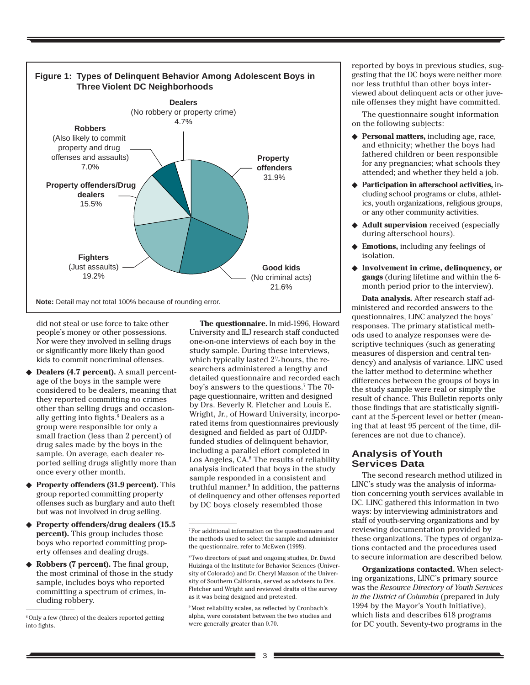

did not steal or use force to take other people's money or other possessions. Nor were they involved in selling drugs or significantly more likely than good kids to commit noncriminal offenses.

- **Dealers (4.7 percent).** A small percentage of the boys in the sample were considered to be dealers, meaning that they reported committing no crimes other than selling drugs and occasionally getting into fights.<sup>6</sup> Dealers as a group were responsible for only a small fraction (less than 2 percent) of drug sales made by the boys in the sample. On average, each dealer reported selling drugs slightly more than once every other month.
- ◆ **Property offenders (31.9 percent).** This group reported committing property offenses such as burglary and auto theft but was not involved in drug selling.
- ◆ **Property offenders/drug dealers (15.5 percent).** This group includes those boys who reported committing property offenses and dealing drugs.
- ◆ **Robbers (7 percent).** The final group, the most criminal of those in the study sample, includes boys who reported committing a spectrum of crimes, including robbery.

**The questionnaire.** In mid-1996, Howard University and ILJ research staff conducted one-on-one interviews of each boy in the study sample. During these interviews, which typically lasted  $2^{\prime\prime_{2}}$ hours, the researchers administered a lengthy and detailed questionnaire and recorded each boy's answers to the questions.7 The 70 page questionnaire, written and designed by Drs. Beverly R. Fletcher and Louis E. Wright, Jr., of Howard University, incorporated items from questionnaires previously designed and fielded as part of OJJDPfunded studies of delinquent behavior, including a parallel effort completed in Los Angeles, CA.8 The results of reliability analysis indicated that boys in the study sample responded in a consistent and truthful manner.9 In addition, the patterns of delinquency and other offenses reported by DC boys closely resembled those

9 Most reliability scales, as reflected by Cronbach's alpha, were consistent between the two studies and were generally greater than 0.70.

reported by boys in previous studies, suggesting that the DC boys were neither more nor less truthful than other boys interviewed about delinquent acts or other juvenile offenses they might have committed.

The questionnaire sought information on the following subjects:

- ◆ **Personal matters**, including age, race, and ethnicity; whether the boys had fathered children or been responsible for any pregnancies; what schools they attended; and whether they held a job.
- ◆ **Participation in afterschool activities,** including school programs or clubs, athletics, youth organizations, religious groups, or any other community activities.
- ◆ **Adult supervision** received (especially during afterschool hours).
- **Emotions,** including any feelings of isolation.
- ◆ **Involvement in crime, delinquency, or gangs** (during lifetime and within the 6 month period prior to the interview).

**Data analysis.** After research staff administered and recorded answers to the questionnaires, LINC analyzed the boys' responses. The primary statistical methods used to analyze responses were descriptive techniques (such as generating measures of dispersion and central tendency) and analysis of variance. LINC used the latter method to determine whether differences between the groups of boys in the study sample were real or simply the result of chance. This Bulletin reports only those findings that are statistically significant at the 5-percent level or better (meaning that at least 95 percent of the time, differences are not due to chance).

### **Analysis of Youth Services Data**

The second research method utilized in LINC's study was the analysis of information concerning youth services available in DC. LINC gathered this information in two ways: by interviewing administrators and staff of youth-serving organizations and by reviewing documentation provided by these organizations. The types of organizations contacted and the procedures used to secure information are described below.

**Organizations contacted.** When selecting organizations, LINC's primary source was the *Resource Directory of Youth Services in the District of Columbia* (prepared in July 1994 by the Mayor's Youth Initiative), which lists and describes 618 programs for DC youth. Seventy-two programs in the

<sup>&</sup>lt;sup>6</sup> Only a few (three) of the dealers reported getting into fights.

<sup>7</sup> For additional information on the questionnaire and the methods used to select the sample and administer the questionnaire, refer to McEwen (1998).

<sup>8</sup> Two directors of past and ongoing studies, Dr. David Huizinga of the Institute for Behavior Sciences (University of Colorado) and Dr. Cheryl Maxson of the University of Southern California, served as advisers to Drs. Fletcher and Wright and reviewed drafts of the survey as it was being designed and pretested.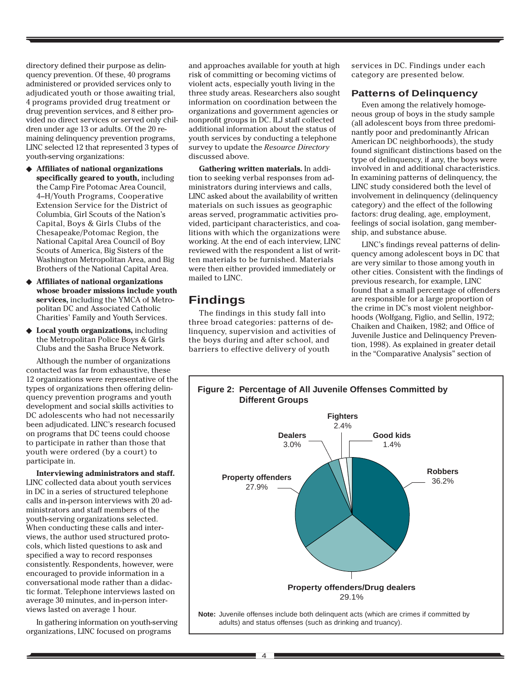directory defined their purpose as delinquency prevention. Of these, 40 programs administered or provided services only to adjudicated youth or those awaiting trial, 4 programs provided drug treatment or drug prevention services, and 8 either provided no direct services or served only children under age 13 or adults. Of the 20 remaining delinquency prevention programs, LINC selected 12 that represented 3 types of youth-serving organizations:

- ◆ **Affiliates of national organizations specifically geared to youth,** including the Camp Fire Potomac Area Council, 4–H/Youth Programs, Cooperative Extension Service for the District of Columbia, Girl Scouts of the Nation's Capital, Boys & Girls Clubs of the Chesapeake/Potomac Region, the National Capital Area Council of Boy Scouts of America, Big Sisters of the Washington Metropolitan Area, and Big Brothers of the National Capital Area.
- ◆ **Affiliates of national organizations whose broader missions include youth services,** including the YMCA of Metropolitan DC and Associated Catholic Charities' Family and Youth Services.
- ◆ **Local youth organizations,** including the Metropolitan Police Boys & Girls Clubs and the Sasha Bruce Network.

Although the number of organizations contacted was far from exhaustive, these 12 organizations were representative of the types of organizations then offering delinquency prevention programs and youth development and social skills activities to DC adolescents who had not necessarily been adjudicated. LINC's research focused on programs that DC teens could choose to participate in rather than those that youth were ordered (by a court) to participate in.

**Interviewing administrators and staff.** LINC collected data about youth services in DC in a series of structured telephone calls and in-person interviews with 20 administrators and staff members of the youth-serving organizations selected. When conducting these calls and interviews, the author used structured protocols, which listed questions to ask and specified a way to record responses consistently. Respondents, however, were encouraged to provide information in a conversational mode rather than a didactic format. Telephone interviews lasted on average 30 minutes, and in-person interviews lasted on average 1 hour.

In gathering information on youth-serving organizations, LINC focused on programs

and approaches available for youth at high risk of committing or becoming victims of violent acts, especially youth living in the three study areas. Researchers also sought information on coordination between the organizations and government agencies or nonprofit groups in DC. ILJ staff collected additional information about the status of youth services by conducting a telephone survey to update the *Resource Directory* discussed above.

**Gathering written materials.** In addition to seeking verbal responses from administrators during interviews and calls, LINC asked about the availability of written materials on such issues as geographic areas served, programmatic activities provided, participant characteristics, and coalitions with which the organizations were working. At the end of each interview, LINC reviewed with the respondent a list of written materials to be furnished. Materials were then either provided immediately or mailed to LINC.

# **Findings**

The findings in this study fall into three broad categories: patterns of delinquency, supervision and activities of the boys during and after school, and barriers to effective delivery of youth

4

services in DC. Findings under each category are presented below.

#### **Patterns of Delinquency**

Even among the relatively homogeneous group of boys in the study sample (all adolescent boys from three predominantly poor and predominantly African American DC neighborhoods), the study found significant distinctions based on the type of delinquency, if any, the boys were involved in and additional characteristics. In examining patterns of delinquency, the LINC study considered both the level of involvement in delinquency (delinquency category) and the effect of the following factors: drug dealing, age, employment, feelings of social isolation, gang membership, and substance abuse.

LINC's findings reveal patterns of delinquency among adolescent boys in DC that are very similar to those among youth in other cities. Consistent with the findings of previous research, for example, LINC found that a small percentage of offenders are responsible for a large proportion of the crime in DC's most violent neighborhoods (Wolfgang, Figlio, and Sellin, 1972; Chaiken and Chaiken, 1982; and Office of Juvenile Justice and Delinquency Prevention, 1998). As explained in greater detail in the "Comparative Analysis" section of

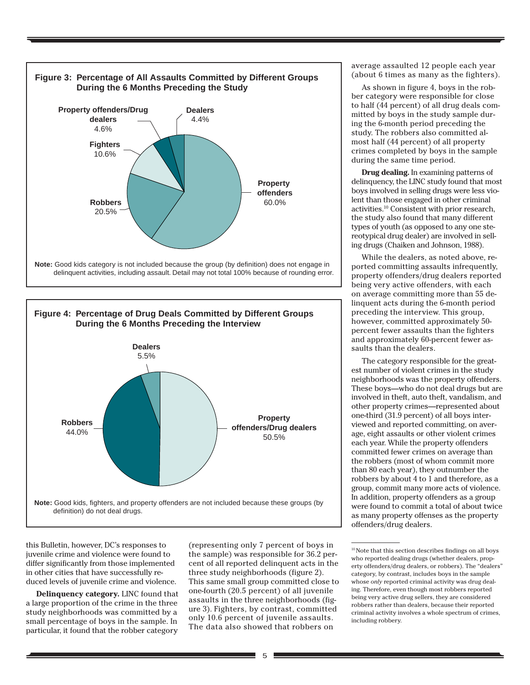



this Bulletin, however, DC's responses to juvenile crime and violence were found to differ significantly from those implemented in other cities that have successfully reduced levels of juvenile crime and violence.

**Delinquency category.** LINC found that a large proportion of the crime in the three study neighborhoods was committed by a small percentage of boys in the sample. In particular, it found that the robber category

(representing only 7 percent of boys in the sample) was responsible for 36.2 percent of all reported delinquent acts in the three study neighborhoods (figure 2). This same small group committed close to one-fourth (20.5 percent) of all juvenile assaults in the three neighborhoods (figure 3). Fighters, by contrast, committed only 10.6 percent of juvenile assaults. The data also showed that robbers on

average assaulted 12 people each year (about 6 times as many as the fighters).

As shown in figure 4, boys in the robber category were responsible for close to half (44 percent) of all drug deals committed by boys in the study sample during the 6-month period preceding the study. The robbers also committed almost half (44 percent) of all property crimes completed by boys in the sample during the same time period.

**Drug dealing.** In examining patterns of delinquency, the LINC study found that most boys involved in selling drugs were less violent than those engaged in other criminal activities.10 Consistent with prior research, the study also found that many different types of youth (as opposed to any one stereotypical drug dealer) are involved in selling drugs (Chaiken and Johnson, 1988).

While the dealers, as noted above, reported committing assaults infrequently, property offenders/drug dealers reported being very active offenders, with each on average committing more than 55 delinquent acts during the 6-month period preceding the interview. This group, however, committed approximately 50 percent fewer assaults than the fighters and approximately 60-percent fewer assaults than the dealers.

The category responsible for the greatest number of violent crimes in the study neighborhoods was the property offenders. These boys—who do not deal drugs but are involved in theft, auto theft, vandalism, and other property crimes—represented about one-third (31.9 percent) of all boys interviewed and reported committing, on average, eight assaults or other violent crimes each year. While the property offenders committed fewer crimes on average than the robbers (most of whom commit more than 80 each year), they outnumber the robbers by about 4 to 1 and therefore, as a group, commit many more acts of violence. In addition, property offenders as a group were found to commit a total of about twice as many property offenses as the property offenders/drug dealers.

<sup>10</sup> Note that this section describes findings on all boys who reported dealing drugs (whether dealers, property offenders/drug dealers, or robbers). The "dealers" category, by contrast, includes boys in the sample whose *only* reported criminal activity was drug dealing. Therefore, even though most robbers reported being very active drug sellers, they are considered robbers rather than dealers, because their reported criminal activity involves a whole spectrum of crimes, including robbery.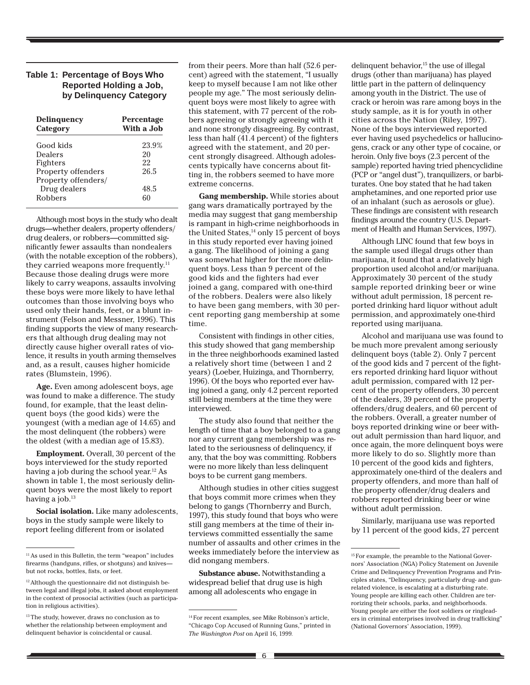#### **Table 1: Percentage of Boys Who Reported Holding a Job, by Delinquency Category**

| Delinquency<br>Category                   | Percentage<br>With a Job |
|-------------------------------------------|--------------------------|
| Good kids                                 | 23.9%                    |
| Dealers                                   | 20                       |
| Fighters                                  | 22                       |
| Property offenders<br>Property offenders/ | 26.5                     |
| Drug dealers                              | 48.5                     |
| Robbers                                   | 60                       |

Although most boys in the study who dealt drugs—whether dealers, property offenders/ drug dealers, or robbers—committed significantly fewer assaults than nondealers (with the notable exception of the robbers), they carried weapons more frequently.<sup>11</sup> Because those dealing drugs were more likely to carry weapons, assaults involving these boys were more likely to have lethal outcomes than those involving boys who used only their hands, feet, or a blunt instrument (Felson and Messner, 1996). This finding supports the view of many researchers that although drug dealing may not directly cause higher overall rates of violence, it results in youth arming themselves and, as a result, causes higher homicide rates (Blumstein, 1996).

**Age.** Even among adolescent boys, age was found to make a difference. The study found, for example, that the least delinquent boys (the good kids) were the youngest (with a median age of 14.65) and the most delinquent (the robbers) were the oldest (with a median age of 15.83).

**Employment.** Overall, 30 percent of the boys interviewed for the study reported having a job during the school year.<sup>12</sup> As shown in table 1, the most seriously delinquent boys were the most likely to report having a job.<sup>13</sup>

**Social isolation.** Like many adolescents, boys in the study sample were likely to report feeling different from or isolated

from their peers. More than half (52.6 percent) agreed with the statement, "I usually keep to myself because I am not like other people my age." The most seriously delinquent boys were most likely to agree with this statement, with 77 percent of the robbers agreeing or strongly agreeing with it and none strongly disagreeing. By contrast, less than half (41.4 percent) of the fighters agreed with the statement, and 20 percent strongly disagreed. Although adolescents typically have concerns about fitting in, the robbers seemed to have more extreme concerns.

**Gang membership.** While stories about gang wars dramatically portrayed by the media may suggest that gang membership is rampant in high-crime neighborhoods in the United States,<sup>14</sup> only 15 percent of boys in this study reported ever having joined a gang. The likelihood of joining a gang was somewhat higher for the more delinquent boys. Less than 9 percent of the good kids and the fighters had ever joined a gang, compared with one-third of the robbers. Dealers were also likely to have been gang members, with 30 percent reporting gang membership at some time.

Consistent with findings in other cities, this study showed that gang membership in the three neighborhoods examined lasted a relatively short time (between 1 and 2 years) (Loeber, Huizinga, and Thornberry, 1996). Of the boys who reported ever having joined a gang, only 4.2 percent reported still being members at the time they were interviewed.

The study also found that neither the length of time that a boy belonged to a gang nor any current gang membership was related to the seriousness of delinquency, if any, that the boy was committing. Robbers were no more likely than less delinquent boys to be current gang members.

Although studies in other cities suggest that boys commit more crimes when they belong to gangs (Thornberry and Burch, 1997), this study found that boys who were still gang members at the time of their interviews committed essentially the same number of assaults and other crimes in the weeks immediately before the interview as did nongang members.

**Substance abuse.** Notwithstanding a widespread belief that drug use is high among all adolescents who engage in

delinquent behavior,15 the use of illegal drugs (other than marijuana) has played little part in the pattern of delinquency among youth in the District. The use of crack or heroin was rare among boys in the study sample, as it is for youth in other cities across the Nation (Riley, 1997). None of the boys interviewed reported ever having used psychedelics or hallucinogens, crack or any other type of cocaine, or heroin. Only five boys (2.3 percent of the sample) reported having tried phencyclidine (PCP or "angel dust"), tranquilizers, or barbiturates. One boy stated that he had taken amphetamines, and one reported prior use of an inhalant (such as aerosols or glue). These findings are consistent with research findings around the country (U.S. Department of Health and Human Services, 1997).

Although LINC found that few boys in the sample used illegal drugs other than marijuana, it found that a relatively high proportion used alcohol and/or marijuana. Approximately 30 percent of the study sample reported drinking beer or wine without adult permission, 18 percent reported drinking hard liquor without adult permission, and approximately one-third reported using marijuana.

Alcohol and marijuana use was found to be much more prevalent among seriously delinquent boys (table 2). Only 7 percent of the good kids and 7 percent of the fighters reported drinking hard liquor without adult permission, compared with 12 percent of the property offenders, 30 percent of the dealers, 39 percent of the property offenders/drug dealers, and 60 percent of the robbers. Overall, a greater number of boys reported drinking wine or beer without adult permission than hard liquor, and once again, the more delinquent boys were more likely to do so. Slightly more than 10 percent of the good kids and fighters, approximately one-third of the dealers and property offenders, and more than half of the property offender/drug dealers and robbers reported drinking beer or wine without adult permission.

Similarly, marijuana use was reported by 11 percent of the good kids, 27 percent

<sup>&</sup>lt;sup>11</sup> As used in this Bulletin, the term "weapon" includes firearms (handguns, rifles, or shotguns) and knives but not rocks, bottles, fists, or feet.

<sup>&</sup>lt;sup>12</sup> Although the questionnaire did not distinguish between legal and illegal jobs, it asked about employment in the context of prosocial activities (such as participation in religious activities).

<sup>&</sup>lt;sup>13</sup> The study, however, draws no conclusion as to whether the relationship between employment and delinquent behavior is coincidental or causal.

<sup>14</sup> For recent examples, see Mike Robinson's article, "Chicago Cop Accused of Running Guns," printed in *The Washington Post* on April 16, 1999*.*

 $^{15}\mathrm{For}$  example, the preamble to the National Governors' Association (NGA) Policy Statement on Juvenile Crime and Delinquency Prevention Programs and Principles states, "Delinquency, particularly drug- and gunrelated violence, is escalating at a disturbing rate. Young people are killing each other. Children are terrorizing their schools, parks, and neighborhoods. Young people are either the foot soldiers or ringleaders in criminal enterprises involved in drug trafficking" (National Governors' Association, 1999).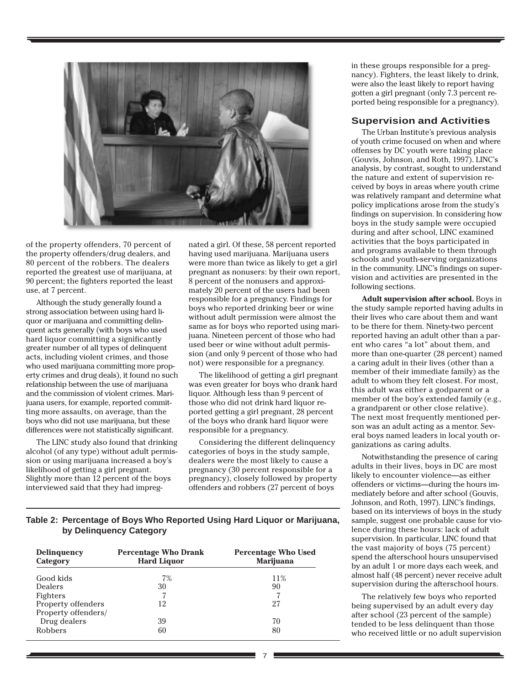

of the property offenders, 70 percent of the property offenders/drug dealers, and 80 percent of the robbers. The dealers reported the greatest use of marijuana, at 90 percent; the fighters reported the least use, at 7 percent.

Although the study generally found a strong association between using hard liquor or marijuana and committing delinquent acts generally (with boys who used hard liquor committing a significantly greater number of all types of delinquent acts, including violent crimes, and those who used marijuana committing more property crimes and drug deals), it found no such relationship between the use of marijuana and the commission of violent crimes. Marijuana users, for example, reported committing more assaults, on average, than the boys who did not use marijuana, but these differences were not statistically significant.

The LINC study also found that drinking alcohol (of any type) without adult permission or using marijuana increased a boy's likelihood of getting a girl pregnant. Slightly more than 12 percent of the boys interviewed said that they had impregnated a girl. Of these, 58 percent reported having used marijuana. Marijuana users were more than twice as likely to get a girl pregnant as nonusers: by their own report, 8 percent of the nonusers and approximately 20 percent of the users had been responsible for a pregnancy. Findings for boys who reported drinking beer or wine without adult permission were almost the same as for boys who reported using marijuana. Nineteen percent of those who had used beer or wine without adult permission (and only 9 percent of those who had not) were responsible for a pregnancy.

The likelihood of getting a girl pregnant was even greater for boys who drank hard liquor. Although less than 9 percent of those who did not drink hard liquor reported getting a girl pregnant, 28 percent of the boys who drank hard liquor were responsible for a pregnancy.

Considering the different delinquency categories of boys in the study sample, dealers were the most likely to cause a pregnancy (30 percent responsible for a pregnancy), closely followed by property offenders and robbers (27 percent of boys

in these groups responsible for a pregnancy). Fighters, the least likely to drink, were also the least likely to report having gotten a girl pregnant (only 7.3 percent reported being responsible for a pregnancy).

#### **Supervision and Activities**

The Urban Institute's previous analysis of youth crime focused on when and where offenses by DC youth were taking place (Gouvis, Johnson, and Roth, 1997). LINC's analysis, by contrast, sought to understand the nature and extent of supervision received by boys in areas where youth crime was relatively rampant and determine what policy implications arose from the study's findings on supervision. In considering how boys in the study sample were occupied during and after school, LINC examined activities that the boys participated in and programs available to them through schools and youth-serving organizations in the community. LINC's findings on supervision and activities are presented in the following sections.

**Adult supervision after school.** Boys in the study sample reported having adults in their lives who care about them and want to be there for them. Ninety-two percent reported having an adult other than a parent who cares "a lot" about them, and more than one-quarter (28 percent) named a caring adult in their lives (other than a member of their immediate family) as the adult to whom they felt closest. For most, this adult was either a godparent or a member of the boy's extended family (e.g., a grandparent or other close relative). The next most frequently mentioned person was an adult acting as a mentor. Several boys named leaders in local youth organizations as caring adults.

Notwithstanding the presence of caring adults in their lives, boys in DC are most likely to encounter violence—as either offenders or victims—during the hours immediately before and after school (Gouvis, Johnson, and Roth, 1997). LINC's findings, based on its interviews of boys in the study sample, suggest one probable cause for violence during these hours: lack of adult supervision. In particular, LINC found that the vast majority of boys (75 percent) spend the afterschool hours unsupervised by an adult 1 or more days each week, and almost half (48 percent) never receive adult supervision during the afterschool hours.

The relatively few boys who reported being supervised by an adult every day after school (23 percent of the sample) tended to be less delinquent than those who received little or no adult supervision

#### **Table 2: Percentage of Boys Who Reported Using Hard Liquor or Marijuana, by Delinquency Category**

| <b>Delinguency</b><br>Category | <b>Percentage Who Drank</b><br><b>Hard Liquor</b> | <b>Percentage Who Used</b><br><b>Marijuana</b> |
|--------------------------------|---------------------------------------------------|------------------------------------------------|
| Good kids                      | 7%                                                | 11%                                            |
| <b>Dealers</b>                 | 30                                                | 90                                             |
| Fighters                       |                                                   |                                                |
| Property offenders             | 12                                                | 27                                             |
| Property offenders/            |                                                   |                                                |
| Drug dealers                   | 39                                                | 70                                             |
| <b>Robbers</b>                 | 60                                                | 80                                             |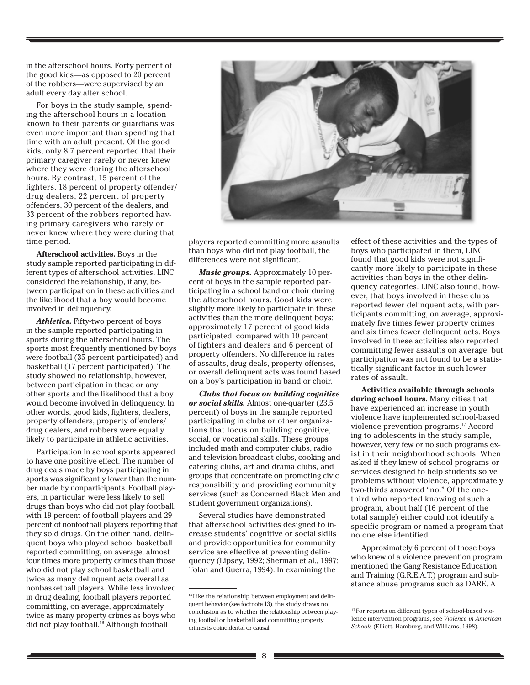in the afterschool hours. Forty percent of the good kids—as opposed to 20 percent of the robbers—were supervised by an adult every day after school.

For boys in the study sample, spending the afterschool hours in a location known to their parents or guardians was even more important than spending that time with an adult present. Of the good kids, only 8.7 percent reported that their primary caregiver rarely or never knew where they were during the afterschool hours. By contrast, 15 percent of the fighters, 18 percent of property offender/ drug dealers, 22 percent of property offenders, 30 percent of the dealers, and 33 percent of the robbers reported having primary caregivers who rarely or never knew where they were during that time period.

**Afterschool activities.** Boys in the study sample reported participating in different types of afterschool activities. LINC considered the relationship, if any, between participation in these activities and the likelihood that a boy would become involved in delinquency.

*Athletics.* Fifty-two percent of boys in the sample reported participating in sports during the afterschool hours. The sports most frequently mentioned by boys were football (35 percent participated) and basketball (17 percent participated). The study showed no relationship, however, between participation in these or any other sports and the likelihood that a boy would become involved in delinquency. In other words, good kids, fighters, dealers, property offenders, property offenders/ drug dealers, and robbers were equally likely to participate in athletic activities.

Participation in school sports appeared to have one positive effect. The number of drug deals made by boys participating in sports was significantly lower than the number made by nonparticipants. Football players, in particular, were less likely to sell drugs than boys who did not play football, with 19 percent of football players and 29 percent of nonfootball players reporting that they sold drugs. On the other hand, delinquent boys who played school basketball reported committing, on average, almost four times more property crimes than those who did not play school basketball and twice as many delinquent acts overall as nonbasketball players. While less involved in drug dealing, football players reported committing, on average, approximately twice as many property crimes as boys who did not play football.16 Although football



players reported committing more assaults than boys who did not play football, the differences were not significant.

*Music groups.* Approximately 10 percent of boys in the sample reported participating in a school band or choir during the afterschool hours. Good kids were slightly more likely to participate in these activities than the more delinquent boys: approximately 17 percent of good kids participated, compared with 10 percent of fighters and dealers and 6 percent of property offenders. No difference in rates of assaults, drug deals, property offenses, or overall delinquent acts was found based on a boy's participation in band or choir.

*Clubs that focus on building cognitive or social skills.* Almost one-quarter (23.5 percent) of boys in the sample reported participating in clubs or other organizations that focus on building cognitive, social, or vocational skills. These groups included math and computer clubs, radio and television broadcast clubs, cooking and catering clubs, art and drama clubs, and groups that concentrate on promoting civic responsibility and providing community services (such as Concerned Black Men and student government organizations).

Several studies have demonstrated that afterschool activities designed to increase students' cognitive or social skills and provide opportunities for community service are effective at preventing delinquency (Lipsey, 1992; Sherman et al., 1997; Tolan and Guerra, 1994). In examining the

effect of these activities and the type<br>boys who participated in them, LINC<br>found that good lide were not signifi round that good kids were not signin-<br>cantly more likely to participate in these<br>activities than boys in the other delineffect of these activities and the types of found that good kids were not signifiactivities than boys in the other delinquency categories. LINC also found, however, that boys involved in these clubs reported fewer delinquent acts, with participants committing, on average, approximately five times fewer property crimes and six times fewer delinquent acts. Boys involved in these activities also reported committing fewer assaults on average, but participation was not found to be a statistically significant factor in such lower rates of assault.

**Activities available through schools during school hours.** Many cities that have experienced an increase in youth violence have implemented school-based violence prevention programs.17 According to adolescents in the study sample, however, very few or no such programs exist in their neighborhood schools. When asked if they knew of school programs or services designed to help students solve problems without violence, approximately two-thirds answered "no." Of the onethird who reported knowing of such a program, about half (16 percent of the total sample) either could not identify a specific program or named a program that no one else identified.

Approximately 6 percent of those boys who knew of a violence prevention program mentioned the Gang Resistance Education and Training (G.R.E.A.T.) program and substance abuse programs such as DARE. A

<sup>&</sup>lt;sup>16</sup> Like the relationship between employment and delinquent behavior (see footnote 13), the study draws no conclusion as to whether the relationship between playing football or basketball and committing property crimes is coincidental or causal.

<sup>&</sup>lt;sup>17</sup> For reports on different types of school-based violence intervention programs, see *Violence in American Schools* (Elliott, Hamburg, and Williams, 1998).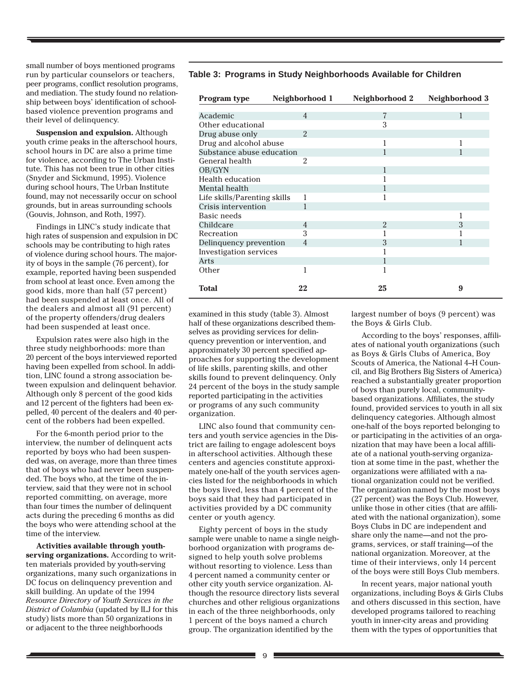small number of boys mentioned programs run by particular counselors or teachers, peer programs, conflict resolution programs, and mediation. The study found no relationship between boys' identification of schoolbased violence prevention programs and their level of delinquency.

**Suspension and expulsion.** Although youth crime peaks in the afterschool hours, school hours in DC are also a prime time for violence, according to The Urban Institute. This has not been true in other cities (Snyder and Sickmund, 1995). Violence during school hours, The Urban Institute found, may not necessarily occur on school grounds, but in areas surrounding schools (Gouvis, Johnson, and Roth, 1997).

Findings in LINC's study indicate that high rates of suspension and expulsion in DC schools may be contributing to high rates of violence during school hours. The majority of boys in the sample (76 percent), for example, reported having been suspended from school at least once. Even among the good kids, more than half (57 percent) had been suspended at least once. All of the dealers and almost all (91 percent) of the property offenders/drug dealers had been suspended at least once.

Expulsion rates were also high in the three study neighborhoods: more than 20 percent of the boys interviewed reported having been expelled from school. In addition, LINC found a strong association between expulsion and delinquent behavior. Although only 8 percent of the good kids and 12 percent of the fighters had been expelled, 40 percent of the dealers and 40 percent of the robbers had been expelled.

For the 6-month period prior to the interview, the number of delinquent acts reported by boys who had been suspended was, on average, more than three times that of boys who had never been suspended. The boys who, at the time of the interview, said that they were not in school reported committing, on average, more than four times the number of delinquent acts during the preceding 6 months as did the boys who were attending school at the time of the interview.

**Activities available through youthserving organizations.** According to written materials provided by youth-serving organizations, many such organizations in DC focus on delinquency prevention and skill building. An update of the 1994 *Resource Directory of Youth Services in the District of Columbia* (updated by ILJ for this study) lists more than 50 organizations in or adjacent to the three neighborhoods

#### **Table 3: Programs in Study Neighborhoods Available for Children**

| Program type                 | Neighborhood 1 | Neighborhood 2 | Neighborhood 3 |
|------------------------------|----------------|----------------|----------------|
|                              |                |                |                |
| Academic                     | $\overline{4}$ | 7              | 1              |
| Other educational            |                | 3              |                |
| Drug abuse only              | $\mathfrak{D}$ |                |                |
| Drug and alcohol abuse       |                | 1              | 1              |
| Substance abuse education    |                |                |                |
| General health               | 2              |                |                |
| OB/GYN                       |                |                |                |
| Health education             |                |                |                |
| Mental health                |                |                |                |
| Life skills/Parenting skills | 1              |                |                |
| Crisis intervention          |                |                |                |
| Basic needs                  |                |                |                |
| Childcare                    | $\overline{4}$ | $\overline{2}$ | 3              |
| Recreation                   | 3              |                |                |
| Delinguency prevention       | $\overline{4}$ | 3              |                |
| Investigation services       |                |                |                |
| Arts                         |                |                |                |
| Other                        | 1              |                |                |
| <b>Total</b>                 | 22             | 25             | 9              |

examined in this study (table 3). Almost half of these organizations described themselves as providing services for delinquency prevention or intervention, and approximately 30 percent specified approaches for supporting the development of life skills, parenting skills, and other skills found to prevent delinquency. Only 24 percent of the boys in the study sample reported participating in the activities or programs of any such community organization.

LINC also found that community centers and youth service agencies in the District are failing to engage adolescent boys in afterschool activities. Although these centers and agencies constitute approximately one-half of the youth services agencies listed for the neighborhoods in which the boys lived, less than 4 percent of the boys said that they had participated in activities provided by a DC community center or youth agency.

Eighty percent of boys in the study sample were unable to name a single neighborhood organization with programs designed to help youth solve problems without resorting to violence. Less than 4 percent named a community center or other city youth service organization. Although the resource directory lists several churches and other religious organizations in each of the three neighborhoods, only 1 percent of the boys named a church group. The organization identified by the

largest number of boys (9 percent) was the Boys & Girls Club.

According to the boys' responses, affiliates of national youth organizations (such as Boys & Girls Clubs of America, Boy Scouts of America, the National 4–H Council, and Big Brothers Big Sisters of America) reached a substantially greater proportion of boys than purely local, communitybased organizations. Affiliates, the study found, provided services to youth in all six delinquency categories. Although almost one-half of the boys reported belonging to or participating in the activities of an organization that may have been a local affiliate of a national youth-serving organization at some time in the past, whether the organizations were affiliated with a national organization could not be verified. The organization named by the most boys (27 percent) was the Boys Club. However, unlike those in other cities (that are affiliated with the national organization), some Boys Clubs in DC are independent and share only the name—and not the programs, services, or staff training—of the national organization. Moreover, at the time of their interviews, only 14 percent of the boys were still Boys Club members.

In recent years, major national youth organizations, including Boys & Girls Clubs and others discussed in this section, have developed programs tailored to reaching youth in inner-city areas and providing them with the types of opportunities that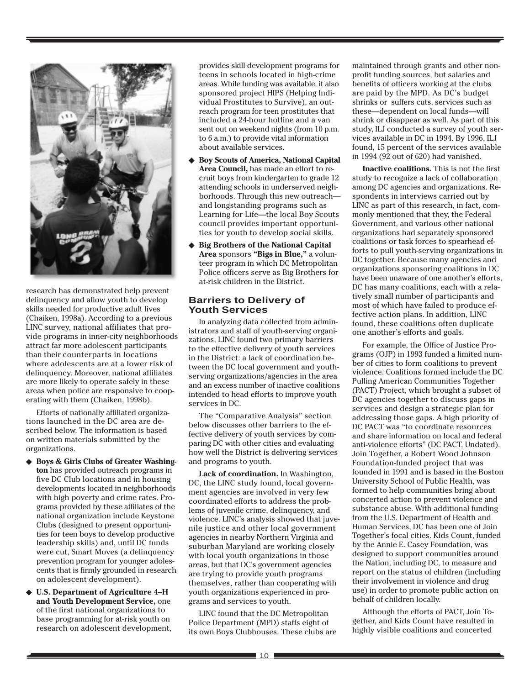

research has demonstrated help prevent delinquency and allow youth to develop skills needed for productive adult lives (Chaiken, 1998a). According to a previous LINC survey, national affiliates that provide programs in inner-city neighborhoods attract far more adolescent participants than their counterparts in locations where adolescents are at a lower risk of delinquency. Moreover, national affiliates are more likely to operate safely in these areas when police are responsive to cooperating with them (Chaiken, 1998b).

Efforts of nationally affiliated organizations launched in the DC area are described below. The information is based on written materials submitted by the organizations.

- ◆ Boys & Girls Clubs of Greater Washing**ton** has provided outreach programs in five DC Club locations and in housing developments located in neighborhoods with high poverty and crime rates. Programs provided by these affiliates of the national organization include Keystone Clubs (designed to present opportunities for teen boys to develop productive leadership skills) and, until DC funds were cut, Smart Moves (a delinquency prevention program for younger adolescents that is firmly grounded in research on adolescent development).
- ◆ **U.S. Department of Agriculture 4–H and Youth Development Service,** one of the first national organizations to base programming for at-risk youth on research on adolescent development,

provides skill development programs for teens in schools located in high-crime areas. While funding was available, it also sponsored project HIPS (Helping Individual Prostitutes to Survive), an outreach program for teen prostitutes that included a 24-hour hotline and a van sent out on weekend nights (from 10 p.m. to 6 a.m.) to provide vital information about available services.

- **Boy Scouts of America, National Capital Area Council,** has made an effort to recruit boys from kindergarten to grade 12 attending schools in underserved neighborhoods. Through this new outreach and longstanding programs such as Learning for Life—the local Boy Scouts council provides important opportunities for youth to develop social skills.
- **Big Brothers of the National Capital Area** sponsors **"Bigs in Blue,"** a volunteer program in which DC Metropolitan Police officers serve as Big Brothers for at-risk children in the District.

#### **Barriers to Delivery of Youth Services**

In analyzing data collected from administrators and staff of youth-serving organizations, LINC found two primary barriers to the effective delivery of youth services in the District: a lack of coordination between the DC local government and youthserving organizations/agencies in the area and an excess number of inactive coalitions intended to head efforts to improve youth services in DC.

The "Comparative Analysis" section below discusses other barriers to the effective delivery of youth services by comparing DC with other cities and evaluating how well the District is delivering services and programs to youth.

**Lack of coordination.** In Washington, DC, the LINC study found, local government agencies are involved in very few coordinated efforts to address the problems of juvenile crime, delinquency, and violence. LINC's analysis showed that juvenile justice and other local government agencies in nearby Northern Virginia and suburban Maryland are working closely with local youth organizations in those areas, but that DC's government agencies are trying to provide youth programs themselves, rather than cooperating with youth organizations experienced in programs and services to youth.

LINC found that the DC Metropolitan Police Department (MPD) staffs eight of its own Boys Clubhouses. These clubs are

maintained through grants and other nonprofit funding sources, but salaries and benefits of officers working at the clubs are paid by the MPD. As DC's budget shrinks or suffers cuts, services such as these—dependent on local funds—will shrink or disappear as well. As part of this study, ILJ conducted a survey of youth services available in DC in 1994. By 1996, ILJ found, 15 percent of the services available in 1994 (92 out of 620) had vanished.

**Inactive coalitions.** This is not the first study to recognize a lack of collaboration among DC agencies and organizations. Respondents in interviews carried out by LINC as part of this research, in fact, commonly mentioned that they, the Federal Government, and various other national organizations had separately sponsored coalitions or task forces to spearhead efforts to pull youth-serving organizations in DC together. Because many agencies and organizations sponsoring coalitions in DC have been unaware of one another's efforts, DC has many coalitions, each with a relatively small number of participants and most of which have failed to produce effective action plans. In addition, LINC found, these coalitions often duplicate one another's efforts and goals.

For example, the Office of Justice Programs (OJP) in 1993 funded a limited number of cities to form coalitions to prevent violence. Coalitions formed include the DC Pulling American Communities Together (PACT) Project, which brought a subset of DC agencies together to discuss gaps in services and design a strategic plan for addressing those gaps. A high priority of DC PACT was "to coordinate resources and share information on local and federal anti-violence efforts" (DC PACT, Undated). Join Together, a Robert Wood Johnson Foundation-funded project that was founded in 1991 and is based in the Boston University School of Public Health, was formed to help communities bring about concerted action to prevent violence and substance abuse. With additional funding from the U.S. Department of Health and Human Services, DC has been one of Join Together's focal cities. Kids Count, funded by the Annie E. Casey Foundation, was designed to support communities around the Nation, including DC, to measure and report on the status of children (including their involvement in violence and drug use) in order to promote public action on behalf of children locally.

Although the efforts of PACT, Join Together, and Kids Count have resulted in highly visible coalitions and concerted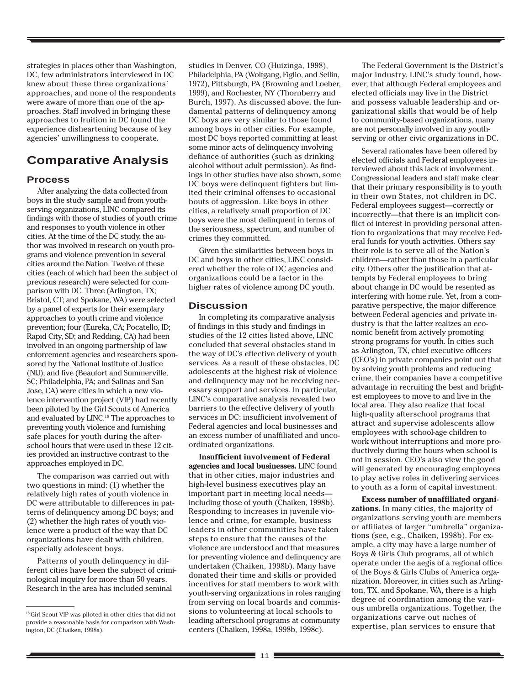strategies in places other than Washington, DC, few administrators interviewed in DC knew about these three organizations' approaches, and none of the respondents were aware of more than one of the approaches. Staff involved in bringing these approaches to fruition in DC found the experience disheartening because of key agencies' unwillingness to cooperate.

# **Comparative Analysis**

#### **Process**

After analyzing the data collected from boys in the study sample and from youthserving organizations, LINC compared its findings with those of studies of youth crime and responses to youth violence in other cities. At the time of the DC study, the author was involved in research on youth programs and violence prevention in several cities around the Nation. Twelve of these cities (each of which had been the subject of previous research) were selected for comparison with DC. Three (Arlington, TX; Bristol, CT; and Spokane, WA) were selected by a panel of experts for their exemplary approaches to youth crime and violence prevention; four (Eureka, CA; Pocatello, ID; Rapid City, SD; and Redding, CA) had been involved in an ongoing partnership of law enforcement agencies and researchers sponsored by the National Institute of Justice (NIJ); and five (Beaufort and Summerville, SC; Philadelphia, PA; and Salinas and San Jose, CA) were cities in which a new violence intervention project (VIP) had recently been piloted by the Girl Scouts of America and evaluated by LINC.<sup>18</sup> The approaches to preventing youth violence and furnishing safe places for youth during the afterschool hours that were used in these 12 cities provided an instructive contrast to the approaches employed in DC.

The comparison was carried out with two questions in mind: (1) whether the relatively high rates of youth violence in DC were attributable to differences in patterns of delinquency among DC boys; and (2) whether the high rates of youth violence were a product of the way that DC organizations have dealt with children, especially adolescent boys.

Patterns of youth delinquency in different cities have been the subject of criminological inquiry for more than 50 years. Research in the area has included seminal

studies in Denver, CO (Huizinga, 1998), Philadelphia, PA (Wolfgang, Figlio, and Sellin, 1972), Pittsburgh, PA (Browning and Loeber, 1999), and Rochester, NY (Thornberry and Burch, 1997). As discussed above, the fundamental patterns of delinquency among DC boys are very similar to those found among boys in other cities. For example, most DC boys reported committing at least some minor acts of delinquency involving defiance of authorities (such as drinking alcohol without adult permission). As findings in other studies have also shown, some DC boys were delinquent fighters but limited their criminal offenses to occasional bouts of aggression. Like boys in other cities, a relatively small proportion of DC boys were the most delinquent in terms of the seriousness, spectrum, and number of crimes they committed.

Given the similarities between boys in DC and boys in other cities, LINC considered whether the role of DC agencies and organizations could be a factor in the higher rates of violence among DC youth.

#### **Discussion**

In completing its comparative analysis of findings in this study and findings in studies of the 12 cities listed above, LINC concluded that several obstacles stand in the way of DC's effective delivery of youth services. As a result of these obstacles, DC adolescents at the highest risk of violence and delinquency may not be receiving necessary support and services. In particular, LINC's comparative analysis revealed two barriers to the effective delivery of youth services in DC: insufficient involvement of Federal agencies and local businesses and an excess number of unaffiliated and uncoordinated organizations.

**Insufficient involvement of Federal agencies and local businesses.** LINC found that in other cities, major industries and high-level business executives play an important part in meeting local needs including those of youth (Chaiken, 1998b). Responding to increases in juvenile violence and crime, for example, business leaders in other communities have taken steps to ensure that the causes of the violence are understood and that measures for preventing violence and delinquency are undertaken (Chaiken, 1998b). Many have donated their time and skills or provided incentives for staff members to work with youth-serving organizations in roles ranging from serving on local boards and commissions to volunteering at local schools to leading afterschool programs at community centers (Chaiken, 1998a, 1998b, 1998c).

The Federal Government is the District's major industry. LINC's study found, however, that although Federal employees and elected officials may live in the District and possess valuable leadership and organizational skills that would be of help to community-based organizations, many are not personally involved in any youthserving or other civic organizations in DC.

Several rationales have been offered by elected officials and Federal employees interviewed about this lack of involvement. Congressional leaders and staff make clear that their primary responsibility is to youth in their own States, not children in DC. Federal employees suggest—correctly or incorrectly—that there is an implicit conflict of interest in providing personal attention to organizations that may receive Federal funds for youth activities. Others say their role is to serve all of the Nation's children—rather than those in a particular city. Others offer the justification that attempts by Federal employees to bring about change in DC would be resented as interfering with home rule. Yet, from a comparative perspective, the major difference between Federal agencies and private industry is that the latter realizes an economic benefit from actively promoting strong programs for youth. In cities such as Arlington, TX, chief executive officers (CEO's) in private companies point out that by solving youth problems and reducing crime, their companies have a competitive advantage in recruiting the best and brightest employees to move to and live in the local area. They also realize that local high-quality afterschool programs that attract and supervise adolescents allow employees with school-age children to work without interruptions and more productively during the hours when school is not in session. CEO's also view the good will generated by encouraging employees to play active roles in delivering services to youth as a form of capital investment.

**Excess number of unaffiliated organizations.** In many cities, the majority of organizations serving youth are members or affiliates of larger "umbrella" organizations (see, e.g., Chaiken, 1998b). For example, a city may have a large number of Boys & Girls Club programs, all of which operate under the aegis of a regional office of the Boys & Girls Clubs of America organization. Moreover, in cities such as Arlington, TX, and Spokane, WA, there is a high degree of coordination among the various umbrella organizations. Together, the organizations carve out niches of expertise, plan services to ensure that

<sup>18</sup> Girl Scout VIP was piloted in other cities that did not provide a reasonable basis for comparison with Washington, DC (Chaiken, 1998a).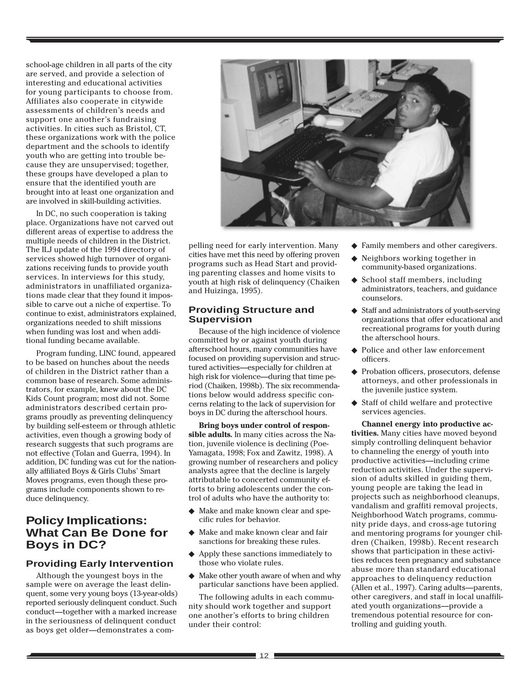school-age children in all parts of the city are served, and provide a selection of interesting and educational activities for young participants to choose from. Affiliates also cooperate in citywide assessments of children's needs and support one another's fundraising activities. In cities such as Bristol, CT, these organizations work with the police department and the schools to identify youth who are getting into trouble because they are unsupervised; together, these groups have developed a plan to ensure that the identified youth are brought into at least one organization and are involved in skill-building activities.

In DC, no such cooperation is taking place. Organizations have not carved out different areas of expertise to address the multiple needs of children in the District. The ILJ update of the 1994 directory of services showed high turnover of organizations receiving funds to provide youth services. In interviews for this study, administrators in unaffiliated organizations made clear that they found it impossible to carve out a niche of expertise. To continue to exist, administrators explained, organizations needed to shift missions when funding was lost and when additional funding became available.

Program funding, LINC found, appeared to be based on hunches about the needs of children in the District rather than a common base of research. Some administrators, for example, knew about the DC Kids Count program; most did not. Some administrators described certain programs proudly as preventing delinquency by building self-esteem or through athletic activities, even though a growing body of research suggests that such programs are not effective (Tolan and Guerra, 1994). In addition, DC funding was cut for the nationally affiliated Boys & Girls Clubs' Smart Moves programs, even though these programs include components shown to reduce delinquency.

# **Policy Implications: What Can Be Done for Boys in DC?**

# **Providing Early Intervention**

Although the youngest boys in the sample were on average the least delinquent, some very young boys (13-year-olds) reported seriously delinquent conduct. Such conduct—together with a marked increase in the seriousness of delinquent conduct as boys get older—demonstrates a com-



pelling need for early intervention. Many cities have met this need by offering proven programs such as Head Start and providing parenting classes and home visits to youth at high risk of delinquency (Chaiken and Huizinga, 1995).

## **Providing Structure and Supervision**

Because of the high incidence of violence committed by or against youth during afterschool hours, many communities have focused on providing supervision and structured activities—especially for children at high risk for violence—during that time period (Chaiken, 1998b). The six recommendations below would address specific concerns relating to the lack of supervision for boys in DC during the afterschool hours.

**Bring boys under control of responsible adults.** In many cities across the Nation, juvenile violence is declining (Poe-Yamagata, 1998; Fox and Zawitz, 1998). A growing number of researchers and policy analysts agree that the decline is largely attributable to concerted community efforts to bring adolescents under the control of adults who have the authority to:

- ◆ Make and make known clear and specific rules for behavior.
- ◆ Make and make known clear and fair sanctions for breaking these rules.
- ◆ Apply these sanctions immediately to those who violate rules.
- ◆ Make other youth aware of when and why particular sanctions have been applied.

The following adults in each community should work together and support one another's efforts to bring children under their control:

- ◆ Family members and other caregivers.
- ◆ Neighbors working together in community-based organizations.
- ◆ School staff members, including administrators, teachers, and guidance counselors.
- ◆ Staff and administrators of youth-serving organizations that offer educational and recreational programs for youth during the afterschool hours.
- ◆ Police and other law enforcement officers.
- ◆ Probation officers, prosecutors, defense attorneys, and other professionals in the juvenile justice system.
- ◆ Staff of child welfare and protective services agencies.

**Channel energy into productive activities.** Many cities have moved beyond simply controlling delinquent behavior to channeling the energy of youth into productive activities—including crime reduction activities. Under the supervision of adults skilled in guiding them, young people are taking the lead in projects such as neighborhood cleanups, vandalism and graffiti removal projects, Neighborhood Watch programs, community pride days, and cross-age tutoring and mentoring programs for younger children (Chaiken, 1998b). Recent research shows that participation in these activities reduces teen pregnancy and substance abuse more than standard educational approaches to delinquency reduction (Allen et al., 1997). Caring adults—parents, other caregivers, and staff in local unaffiliated youth organizations—provide a tremendous potential resource for controlling and guiding youth.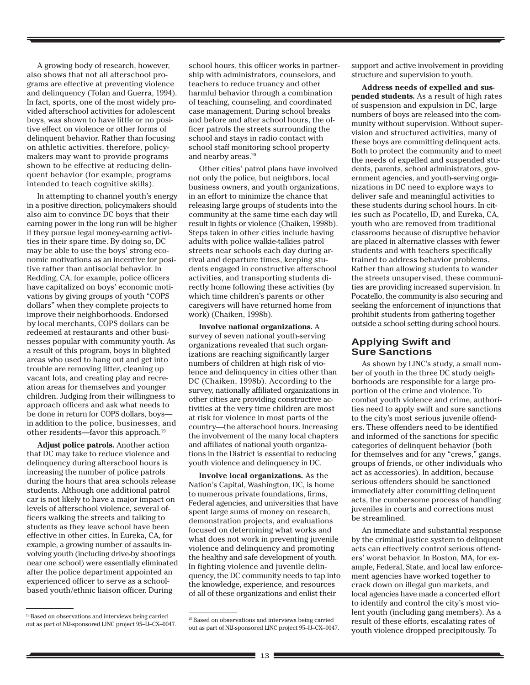A growing body of research, however, also shows that not all afterschool programs are effective at preventing violence and delinquency (Tolan and Guerra, 1994). In fact, sports, one of the most widely provided afterschool activities for adolescent boys, was shown to have little or no positive effect on violence or other forms of delinquent behavior. Rather than focusing on athletic activities, therefore, policymakers may want to provide programs shown to be effective at reducing delinquent behavior (for example, programs intended to teach cognitive skills).

In attempting to channel youth's energy in a positive direction, policymakers should also aim to convince DC boys that their earning power in the long run will be higher if they pursue legal money-earning activities in their spare time. By doing so, DC may be able to use the boys' strong economic motivations as an incentive for positive rather than antisocial behavior. In Redding, CA, for example, police officers have capitalized on boys' economic motivations by giving groups of youth "COPS dollars" when they complete projects to improve their neighborhoods. Endorsed by local merchants, COPS dollars can be redeemed at restaurants and other businesses popular with community youth. As a result of this program, boys in blighted areas who used to hang out and get into trouble are removing litter, cleaning up vacant lots, and creating play and recreation areas for themselves and younger children. Judging from their willingness to approach officers and ask what needs to be done in return for COPS dollars, boys in addition to the police, businesses, and other residents—favor this approach.19

**Adjust police patrols.** Another action that DC may take to reduce violence and delinquency during afterschool hours is increasing the number of police patrols during the hours that area schools release students. Although one additional patrol car is not likely to have a major impact on levels of afterschool violence, several officers walking the streets and talking to students as they leave school have been effective in other cities. In Eureka, CA, for example, a growing number of assaults involving youth (including drive-by shootings near one school) were essentially eliminated after the police department appointed an experienced officer to serve as a schoolbased youth/ethnic liaison officer. During

school hours, this officer works in partnership with administrators, counselors, and teachers to reduce truancy and other harmful behavior through a combination of teaching, counseling, and coordinated case management. During school breaks and before and after school hours, the officer patrols the streets surrounding the school and stays in radio contact with school staff monitoring school property and nearby areas.<sup>20</sup>

Other cities' patrol plans have involved not only the police, but neighbors, local business owners, and youth organizations, in an effort to minimize the chance that releasing large groups of students into the community at the same time each day will result in fights or violence (Chaiken, 1998b). Steps taken in other cities include having adults with police walkie-talkies patrol streets near schools each day during arrival and departure times, keeping students engaged in constructive afterschool activities, and transporting students directly home following these activities (by which time children's parents or other caregivers will have returned home from work) (Chaiken, 1998b).

**Involve national organizations.** A survey of seven national youth-serving organizations revealed that such organizations are reaching significantly larger numbers of children at high risk of violence and delinquency in cities other than DC (Chaiken, 1998b). According to the survey, nationally affiliated organizations in other cities are providing constructive activities at the very time children are most at risk for violence in most parts of the country—the afterschool hours. Increasing the involvement of the many local chapters and affiliates of national youth organizations in the District is essential to reducing youth violence and delinquency in DC.

**Involve local organizations.** As the Nation's Capital, Washington, DC, is home to numerous private foundations, firms, Federal agencies, and universities that have spent large sums of money on research, demonstration projects, and evaluations focused on determining what works and what does not work in preventing juvenile violence and delinquency and promoting the healthy and safe development of youth. In fighting violence and juvenile delinquency, the DC community needs to tap into the knowledge, experience, and resources of all of these organizations and enlist their

support and active involvement in providing structure and supervision to youth.

**Address needs of expelled and suspended students.** As a result of high rates of suspension and expulsion in DC, large numbers of boys are released into the community without supervision. Without supervision and structured activities, many of these boys are committing delinquent acts. Both to protect the community and to meet the needs of expelled and suspended students, parents, school administrators, government agencies, and youth-serving organizations in DC need to explore ways to deliver safe and meaningful activities to these students during school hours. In cities such as Pocatello, ID, and Eureka, CA, youth who are removed from traditional classrooms because of disruptive behavior are placed in alternative classes with fewer students and with teachers specifically trained to address behavior problems. Rather than allowing students to wander the streets unsupervised, these communities are providing increased supervision. In Pocatello, the community is also securing and seeking the enforcement of injunctions that prohibit students from gathering together outside a school setting during school hours.

### **Applying Swift and Sure Sanctions**

As shown by LINC's study, a small number of youth in the three DC study neighborhoods are responsible for a large proportion of the crime and violence. To combat youth violence and crime, authorities need to apply swift and sure sanctions to the city's most serious juvenile offenders. These offenders need to be identified and informed of the sanctions for specific categories of delinquent behavior (both for themselves and for any "crews," gangs, groups of friends, or other individuals who act as accessories). In addition, because serious offenders should be sanctioned immediately after committing delinquent acts, the cumbersome process of handling juveniles in courts and corrections must be streamlined.

An immediate and substantial response by the criminal justice system to delinquent acts can effectively control serious offenders' worst behavior. In Boston, MA, for example, Federal, State, and local law enforcement agencies have worked together to crack down on illegal gun markets, and local agencies have made a concerted effort to identify and control the city's most violent youth (including gang members). As a result of these efforts, escalating rates of youth violence dropped precipitously. To

<sup>&</sup>lt;sup>19</sup> Based on observations and interviews being carried out as part of NIJ-sponsored LINC project 95–IJ–CX–0047.

<sup>20</sup> Based on observations and interviews being carried out as part of NIJ-sponsored LINC project 95–IJ–CX–0047.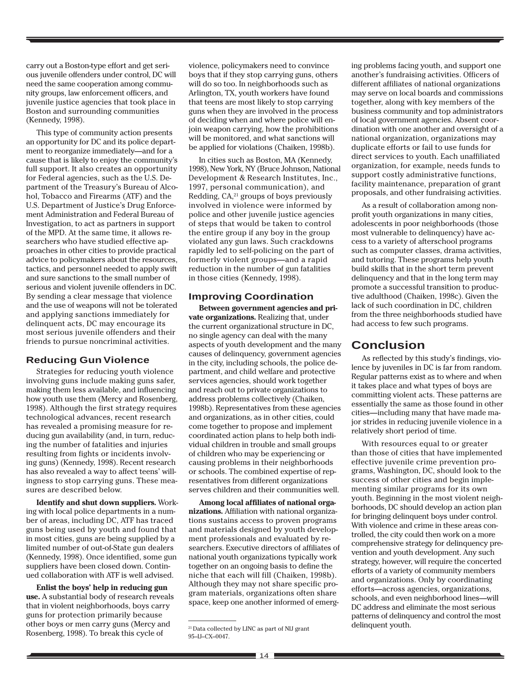carry out a Boston-type effort and get serious juvenile offenders under control, DC will need the same cooperation among community groups, law enforcement officers, and juvenile justice agencies that took place in Boston and surrounding communities (Kennedy, 1998).

This type of community action presents an opportunity for DC and its police department to reorganize immediately—and for a cause that is likely to enjoy the community's full support. It also creates an opportunity for Federal agencies, such as the U.S. Department of the Treasury's Bureau of Alcohol, Tobacco and Firearms (ATF) and the U.S. Department of Justice's Drug Enforcement Administration and Federal Bureau of Investigation, to act as partners in support of the MPD. At the same time, it allows researchers who have studied effective approaches in other cities to provide practical advice to policymakers about the resources, tactics, and personnel needed to apply swift and sure sanctions to the small number of serious and violent juvenile offenders in DC. By sending a clear message that violence and the use of weapons will not be tolerated and applying sanctions immediately for delinquent acts, DC may encourage its most serious juvenile offenders and their friends to pursue noncriminal activities.

#### **Reducing Gun Violence**

Strategies for reducing youth violence involving guns include making guns safer, making them less available, and influencing how youth use them (Mercy and Rosenberg, 1998). Although the first strategy requires technological advances, recent research has revealed a promising measure for reducing gun availability (and, in turn, reducing the number of fatalities and injuries resulting from fights or incidents involving guns) (Kennedy, 1998). Recent research has also revealed a way to affect teens' willingness to stop carrying guns. These measures are described below.

**Identify and shut down suppliers.** Working with local police departments in a number of areas, including DC, ATF has traced guns being used by youth and found that in most cities, guns are being supplied by a limited number of out-of-State gun dealers (Kennedy, 1998). Once identified, some gun suppliers have been closed down. Continued collaboration with ATF is well advised.

**Enlist the boys' help in reducing gun use.** A substantial body of research reveals that in violent neighborhoods, boys carry guns for protection primarily because other boys or men carry guns (Mercy and Rosenberg, 1998). To break this cycle of

violence, policymakers need to convince boys that if they stop carrying guns, others will do so too. In neighborhoods such as Arlington, TX, youth workers have found that teens are most likely to stop carrying guns when they are involved in the process of deciding when and where police will enjoin weapon carrying, how the prohibitions will be monitored, and what sanctions will be applied for violations (Chaiken, 1998b).

In cities such as Boston, MA (Kennedy, 1998), New York, NY (Bruce Johnson, National Development & Research Institutes, Inc., 1997, personal communication), and Redding,  $CA<sub>21</sub>$  groups of boys previously involved in violence were informed by police and other juvenile justice agencies of steps that would be taken to control the entire group if any boy in the group violated any gun laws. Such crackdowns rapidly led to self-policing on the part of formerly violent groups—and a rapid reduction in the number of gun fatalities in those cities (Kennedy, 1998).

#### **Improving Coordination**

**Between government agencies and private organizations.** Realizing that, under the current organizational structure in DC, no single agency can deal with the many aspects of youth development and the many causes of delinquency, government agencies in the city, including schools, the police department, and child welfare and protective services agencies, should work together and reach out to private organizations to address problems collectively (Chaiken, 1998b). Representatives from these agencies and organizations, as in other cities, could come together to propose and implement coordinated action plans to help both individual children in trouble and small groups of children who may be experiencing or causing problems in their neighborhoods or schools. The combined expertise of representatives from different organizations serves children and their communities well.

**Among local affiliates of national organizations.** Affiliation with national organizations sustains access to proven programs and materials designed by youth development professionals and evaluated by researchers. Executive directors of affiliates of national youth organizations typically work together on an ongoing basis to define the niche that each will fill (Chaiken, 1998b). Although they may not share specific program materials, organizations often share space, keep one another informed of emerging problems facing youth, and support one another's fundraising activities. Officers of different affiliates of national organizations may serve on local boards and commissions together, along with key members of the business community and top administrators of local government agencies. Absent coordination with one another and oversight of a national organization, organizations may duplicate efforts or fail to use funds for direct services to youth. Each unaffiliated organization, for example, needs funds to support costly administrative functions, facility maintenance, preparation of grant proposals, and other fundraising activities.

As a result of collaboration among nonprofit youth organizations in many cities, adolescents in poor neighborhoods (those most vulnerable to delinquency) have access to a variety of afterschool programs such as computer classes, drama activities, and tutoring. These programs help youth build skills that in the short term prevent delinquency and that in the long term may promote a successful transition to productive adulthood (Chaiken, 1998c). Given the lack of such coordination in DC, children from the three neighborhoods studied have had access to few such programs.

### **Conclusion**

As reflected by this study's findings, violence by juveniles in DC is far from random. Regular patterns exist as to where and when it takes place and what types of boys are committing violent acts. These patterns are essentially the same as those found in other cities—including many that have made major strides in reducing juvenile violence in a relatively short period of time.

With resources equal to or greater than those of cities that have implemented effective juvenile crime prevention programs, Washington, DC, should look to the success of other cities and begin implementing similar programs for its own youth. Beginning in the most violent neighborhoods, DC should develop an action plan for bringing delinquent boys under control. With violence and crime in these areas controlled, the city could then work on a more comprehensive strategy for delinquency prevention and youth development. Any such strategy, however, will require the concerted efforts of a variety of community members and organizations. Only by coordinating efforts—across agencies, organizations, schools, and even neighborhood lines—will DC address and eliminate the most serious patterns of delinquency and control the most

delinquent youth. 21 Data collected by LINC as part of NIJ grant 95–IJ–CX–0047.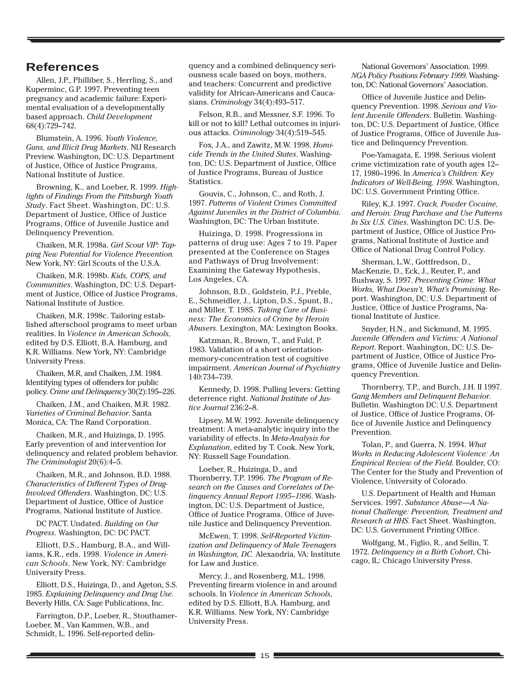# **References**

Allen, J.P., Philliber, S., Herrling, S., and Kuperminc, G.P. 1997. Preventing teen pregnancy and academic failure: Experimental evaluation of a developmentally based approach. *Child Development* 68(4):729–742.

Blumstein, A. 1996. *Youth Violence, Guns, and Illicit Drug Markets*. NIJ Research Preview. Washington, DC: U.S. Department of Justice, Office of Justice Programs, National Institute of Justice.

Browning, K., and Loeber, R. 1999. *Highlights of Findings From the Pittsburgh Youth Study*. Fact Sheet. Washington, DC: U.S. Department of Justice, Office of Justice Programs, Office of Juvenile Justice and Delinquency Prevention.

Chaiken, M.R. 1998a. *Girl Scout VIP: Tapping New Potential for Violence Prevention.* New York, NY: Girl Scouts of the U.S.A.

Chaiken, M.R. 1998b. *Kids, COPS, and Communities*. Washington, DC: U.S. Department of Justice, Office of Justice Programs, National Institute of Justice.

Chaiken, M.R. 1998c. Tailoring established afterschool programs to meet urban realities. In *Violence in American Schools*, edited by D.S. Elliott, B.A. Hamburg, and K.R. Williams. New York, NY: Cambridge University Press.

Chaiken, M.R, and Chaiken, J.M. 1984. Identifying types of offenders for public policy. *Crime and Delinquency* 30(2):195–226.

Chaiken, J.M., and Chaiken, M.R. 1982. *Varieties of Criminal Behavior*. Santa Monica, CA: The Rand Corporation.

Chaiken, M.R., and Huizinga, D. 1995. Early prevention of and intervention for delinquency and related problem behavior. *The Criminologist* 20(6):4–5.

Chaiken, M.R., and Johnson, B.D. 1988. *Characteristics of Different Types of Drug-Involved Offenders*. Washington, DC: U.S. Department of Justice, Office of Justice Programs, National Institute of Justice.

DC PACT. Undated. *Building on Our Progress*. Washington, DC: DC PACT.

Elliott, D.S., Hamburg, B.A., and Williams, K.R., eds. 1998. *Violence in American Schools*. New York, NY: Cambridge University Press.

Elliott, D.S., Huizinga, D., and Ageton, S.S. 1985. *Explaining Delinquency and Drug Use*. Beverly Hills, CA: Sage Publications, Inc.

Farrington, D.P., Loeber, R., Stouthamer-Loeber, M., Van Kammen, W.B., and Schmidt, L. 1996. Self-reported delin-

quency and a combined delinquency seriousness scale based on boys, mothers, and teachers: Concurrent and predictive validity for African-Americans and Caucasians. *Criminology* 34(4):493–517.

Felson, R.B., and Messner, S.F. 1996. To kill or not to kill? Lethal outcomes in injurious attacks. *Criminology* 34(4):519–545.

Fox, J.A., and Zawitz, M.W. 1998. *Homicide Trends in the United States*. Washington, DC: U.S. Department of Justice, Office of Justice Programs, Bureau of Justice Statistics.

Gouvis, C., Johnson, C., and Roth, J. 1997. *Patterns of Violent Crimes Committed Against Juveniles in the District of Columbia*. Washington, DC: The Urban Institute.

Huizinga, D. 1998. Progressions in patterns of drug use: Ages 7 to 19. Paper presented at the Conference on Stages and Pathways of Drug Involvement: Examining the Gateway Hypothesis, Los Angeles, CA.

Johnson, B.D., Goldstein, P.J., Preble, E., Schmeidler, J., Lipton, D.S., Spunt, B., and Miller, T. 1985. *Taking Care of Business: The Economics of Crime by Heroin Abusers.* Lexington, MA: Lexington Books.

Katzman, R., Brown, T., and Fuld, P. 1983. Validation of a short orientationmemory-concentration test of cognitive impairment. *American Journal of Psychiatry* 140:734–739.

Kennedy, D. 1998. Pulling levers: Getting deterrence right. *National Institute of Justice Journal* 236:2–8.

Lipsey, M.W. 1992. Juvenile delinquency treatment: A meta-analytic inquiry into the variability of effects. In *Meta-Analysis for Explanation*, edited by T. Cook. New York, NY: Russell Sage Foundation.

Loeber, R., Huizinga, D., and Thornberry, T.P. 1996. *The Program of Research on the Causes and Correlates of Delinquency Annual Report 1995–1996*. Washington, DC: U.S. Department of Justice, Office of Justice Programs, Office of Juvenile Justice and Delinquency Prevention.

McEwen, T. 1998. *Self-Reported Victimization and Delinquency of Male Teenagers in Washington, DC.* Alexandria, VA: Institute for Law and Justice.

Mercy, J., and Rosenberg, M.L. 1998. Preventing firearm violence in and around schools. In *Violence in American Schools*, edited by D.S. Elliott, B.A. Hamburg, and K.R. Williams. New York, NY: Cambridge University Press.

National Governors' Association. 1999. *NGA Policy Positions February 1999*. Washington, DC: National Governors' Association.

Office of Juvenile Justice and Delinquency Prevention. 1998. *Serious and Violent Juvenile Offenders*. Bulletin. Washington, DC: U.S. Department of Justice, Office of Justice Programs, Office of Juvenile Justice and Delinquency Prevention.

Poe-Yamagata, E. 1998. Serious violent crime victimization rate of youth ages 12– 17, 1980–1996. In *America's Children: Key Indicators of Well-Being, 1998*. Washington, DC: U.S. Government Printing Office.

Riley, K.J. 1997. *Crack, Powder Cocaine, and Heroin: Drug Purchase and Use Patterns In Six U.S. Cities*. Washington DC: U.S. Department of Justice, Office of Justice Programs, National Institute of Justice and Office of National Drug Control Policy.

Sherman, L.W., Gottfredson, D., MacKenzie, D., Eck, J., Reuter, P., and Bushway, S. 1997. *Preventing Crime: What Works, What Doesn't, What's Promising*. Report. Washington, DC: U.S. Department of Justice, Office of Justice Programs, National Institute of Justice.

Snyder, H.N., and Sickmund, M. 1995. *Juvenile Offenders and Victims: A National Report*. Report. Washington, DC: U.S. Department of Justice, Office of Justice Programs, Office of Juvenile Justice and Delinquency Prevention.

Thornberry, T.P., and Burch, J.H. II 1997. *Gang Members and Delinquent Behavior*. Bulletin. Washington DC: U.S. Department of Justice, Office of Justice Programs, Office of Juvenile Justice and Delinquency **Prevention** 

Tolan, P., and Guerra, N. 1994. *What Works in Reducing Adolescent Violence: An Empirical Review of the Field*. Boulder, CO: The Center for the Study and Prevention of Violence, University of Colorado.

U.S. Department of Health and Human Services. 1997. *Substance Abuse—A National Challenge: Prevention, Treatment and Research at HHS*. Fact Sheet. Washington, DC: U.S. Government Printing Office.

Wolfgang, M., Figlio, R., and Sellin, T. 1972. *Delinquency in a Birth Cohort*, Chicago, IL: Chicago University Press.